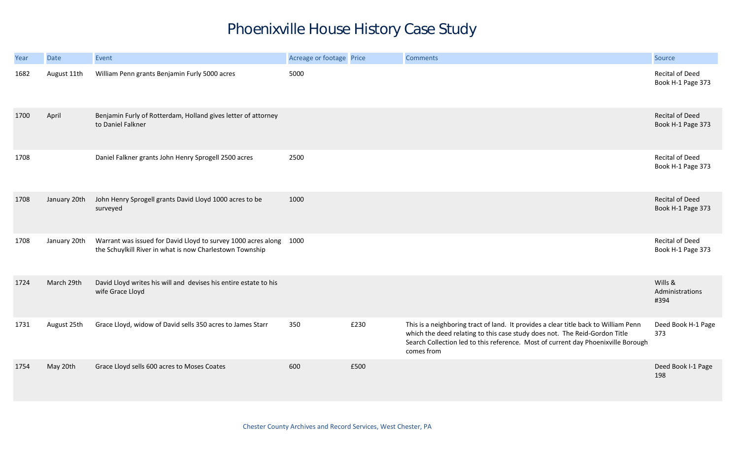## Phoenixville House History Case Study

| Year | Date         | Event                                                                                                                          | Acreage or footage Price |      | <b>Comments</b>                                                                                                                                                                                                                                                      | Source                                      |
|------|--------------|--------------------------------------------------------------------------------------------------------------------------------|--------------------------|------|----------------------------------------------------------------------------------------------------------------------------------------------------------------------------------------------------------------------------------------------------------------------|---------------------------------------------|
| 1682 | August 11th  | William Penn grants Benjamin Furly 5000 acres                                                                                  | 5000                     |      |                                                                                                                                                                                                                                                                      | <b>Recital of Deed</b><br>Book H-1 Page 373 |
| 1700 | April        | Benjamin Furly of Rotterdam, Holland gives letter of attorney<br>to Daniel Falkner                                             |                          |      |                                                                                                                                                                                                                                                                      | <b>Recital of Deed</b><br>Book H-1 Page 373 |
| 1708 |              | Daniel Falkner grants John Henry Sprogell 2500 acres                                                                           | 2500                     |      |                                                                                                                                                                                                                                                                      | Recital of Deed<br>Book H-1 Page 373        |
| 1708 | January 20th | John Henry Sprogell grants David Lloyd 1000 acres to be<br>surveyed                                                            | 1000                     |      |                                                                                                                                                                                                                                                                      | <b>Recital of Deed</b><br>Book H-1 Page 373 |
| 1708 | January 20th | Warrant was issued for David Lloyd to survey 1000 acres along 1000<br>the Schuylkill River in what is now Charlestown Township |                          |      |                                                                                                                                                                                                                                                                      | Recital of Deed<br>Book H-1 Page 373        |
| 1724 | March 29th   | David Lloyd writes his will and devises his entire estate to his<br>wife Grace Lloyd                                           |                          |      |                                                                                                                                                                                                                                                                      | Wills &<br>Administrations<br>#394          |
| 1731 | August 25th  | Grace Lloyd, widow of David sells 350 acres to James Starr                                                                     | 350                      | £230 | This is a neighboring tract of land. It provides a clear title back to William Penn<br>which the deed relating to this case study does not. The Reid-Gordon Title<br>Search Collection led to this reference. Most of current day Phoenixville Borough<br>comes from | Deed Book H-1 Page<br>373                   |
| 1754 | May 20th     | Grace Lloyd sells 600 acres to Moses Coates                                                                                    | 600                      | £500 |                                                                                                                                                                                                                                                                      | Deed Book I-1 Page<br>198                   |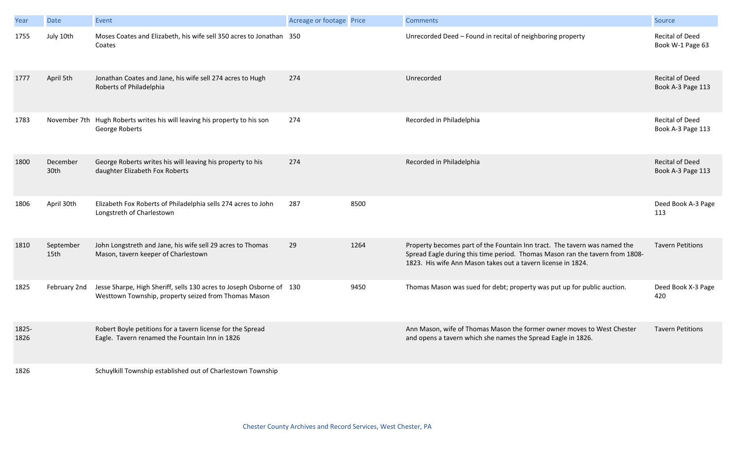| Year          | Date              | Event                                                                                                                        | Acreage or footage Price |      | <b>Comments</b>                                                                                                                                                                                                           | Source                                      |
|---------------|-------------------|------------------------------------------------------------------------------------------------------------------------------|--------------------------|------|---------------------------------------------------------------------------------------------------------------------------------------------------------------------------------------------------------------------------|---------------------------------------------|
| 1755          | July 10th         | Moses Coates and Elizabeth, his wife sell 350 acres to Jonathan 350<br>Coates                                                |                          |      | Unrecorded Deed - Found in recital of neighboring property                                                                                                                                                                | <b>Recital of Deed</b><br>Book W-1 Page 63  |
| 1777          | April 5th         | Jonathan Coates and Jane, his wife sell 274 acres to Hugh<br>Roberts of Philadelphia                                         | 274                      |      | Unrecorded                                                                                                                                                                                                                | <b>Recital of Deed</b><br>Book A-3 Page 113 |
| 1783          |                   | November 7th Hugh Roberts writes his will leaving his property to his son<br>George Roberts                                  | 274                      |      | Recorded in Philadelphia                                                                                                                                                                                                  | Recital of Deed<br>Book A-3 Page 113        |
| 1800          | December<br>30th  | George Roberts writes his will leaving his property to his<br>daughter Elizabeth Fox Roberts                                 | 274                      |      | Recorded in Philadelphia                                                                                                                                                                                                  | <b>Recital of Deed</b><br>Book A-3 Page 113 |
| 1806          | April 30th        | Elizabeth Fox Roberts of Philadelphia sells 274 acres to John<br>Longstreth of Charlestown                                   | 287                      | 8500 |                                                                                                                                                                                                                           | Deed Book A-3 Page<br>113                   |
| 1810          | September<br>15th | John Longstreth and Jane, his wife sell 29 acres to Thomas<br>Mason, tavern keeper of Charlestown                            | 29                       | 1264 | Property becomes part of the Fountain Inn tract. The tavern was named the<br>Spread Eagle during this time period. Thomas Mason ran the tavern from 1808-<br>1823. His wife Ann Mason takes out a tavern license in 1824. | <b>Tavern Petitions</b>                     |
| 1825          | February 2nd      | Jesse Sharpe, High Sheriff, sells 130 acres to Joseph Osborne of 130<br>Westtown Township, property seized from Thomas Mason |                          | 9450 | Thomas Mason was sued for debt; property was put up for public auction.                                                                                                                                                   | Deed Book X-3 Page<br>420                   |
| 1825-<br>1826 |                   | Robert Boyle petitions for a tavern license for the Spread<br>Eagle. Tavern renamed the Fountain Inn in 1826                 |                          |      | Ann Mason, wife of Thomas Mason the former owner moves to West Chester<br>and opens a tavern which she names the Spread Eagle in 1826.                                                                                    | <b>Tavern Petitions</b>                     |
| 1826          |                   | Schuylkill Township established out of Charlestown Township                                                                  |                          |      |                                                                                                                                                                                                                           |                                             |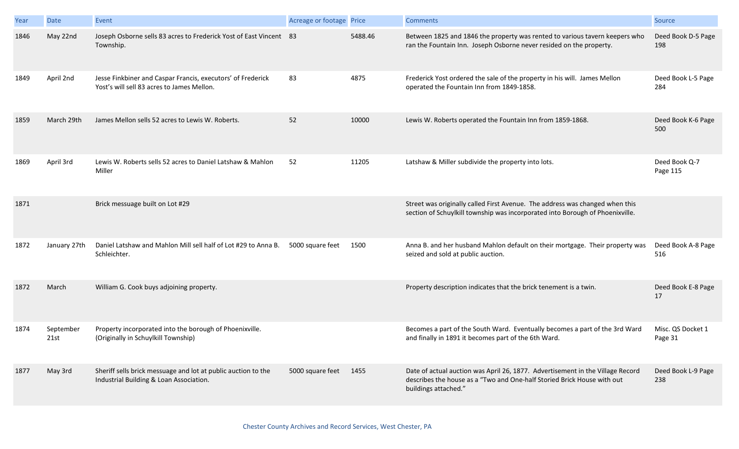| Year | Date              | Event                                                                                                     | Acreage or footage Price |         | <b>Comments</b>                                                                                                                                                                   | Source                       |
|------|-------------------|-----------------------------------------------------------------------------------------------------------|--------------------------|---------|-----------------------------------------------------------------------------------------------------------------------------------------------------------------------------------|------------------------------|
| 1846 | May 22nd          | Joseph Osborne sells 83 acres to Frederick Yost of East Vincent 83<br>Township.                           |                          | 5488.46 | Between 1825 and 1846 the property was rented to various tavern keepers who<br>ran the Fountain Inn. Joseph Osborne never resided on the property.                                | Deed Book D-5 Page<br>198    |
| 1849 | April 2nd         | Jesse Finkbiner and Caspar Francis, executors' of Frederick<br>Yost's will sell 83 acres to James Mellon. | 83                       | 4875    | Frederick Yost ordered the sale of the property in his will. James Mellon<br>operated the Fountain Inn from 1849-1858.                                                            | Deed Book L-5 Page<br>284    |
| 1859 | March 29th        | James Mellon sells 52 acres to Lewis W. Roberts.                                                          | 52                       | 10000   | Lewis W. Roberts operated the Fountain Inn from 1859-1868.                                                                                                                        | Deed Book K-6 Page<br>500    |
| 1869 | April 3rd         | Lewis W. Roberts sells 52 acres to Daniel Latshaw & Mahlon<br>Miller                                      | 52                       | 11205   | Latshaw & Miller subdivide the property into lots.                                                                                                                                | Deed Book Q-7<br>Page 115    |
| 1871 |                   | Brick messuage built on Lot #29                                                                           |                          |         | Street was originally called First Avenue. The address was changed when this<br>section of Schuylkill township was incorporated into Borough of Phoenixville.                     |                              |
| 1872 | January 27th      | Daniel Latshaw and Mahlon Mill sell half of Lot #29 to Anna B.<br>Schleichter.                            | 5000 square feet         | 1500    | Anna B. and her husband Mahlon default on their mortgage. Their property was<br>seized and sold at public auction.                                                                | Deed Book A-8 Page<br>516    |
| 1872 | March             | William G. Cook buys adjoining property.                                                                  |                          |         | Property description indicates that the brick tenement is a twin.                                                                                                                 | Deed Book E-8 Page<br>17     |
| 1874 | September<br>21st | Property incorporated into the borough of Phoenixville.<br>(Originally in Schuylkill Township)            |                          |         | Becomes a part of the South Ward. Eventually becomes a part of the 3rd Ward<br>and finally in 1891 it becomes part of the 6th Ward.                                               | Misc. QS Docket 1<br>Page 31 |
| 1877 | May 3rd           | Sheriff sells brick messuage and lot at public auction to the<br>Industrial Building & Loan Association.  | 5000 square feet         | 1455    | Date of actual auction was April 26, 1877. Advertisement in the Village Record<br>describes the house as a "Two and One-half Storied Brick House with out<br>buildings attached." | Deed Book L-9 Page<br>238    |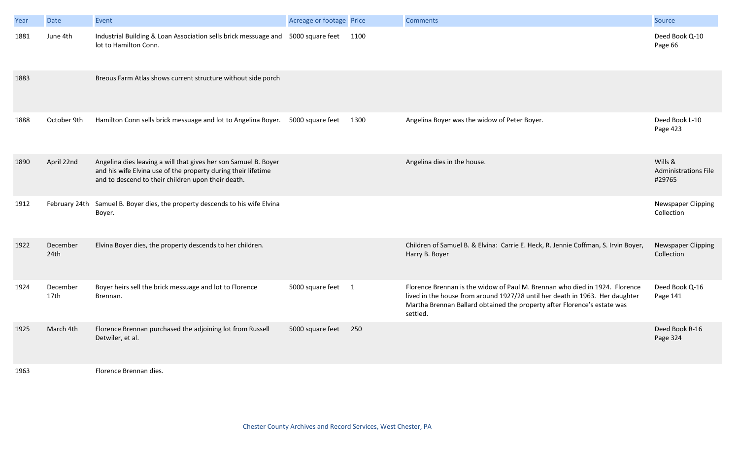| Year | Date                         | Event                                                                                                                                                                                  | Acreage or footage Price |      | <b>Comments</b>                                                                                                                                                                                                                                     | Source                                           |
|------|------------------------------|----------------------------------------------------------------------------------------------------------------------------------------------------------------------------------------|--------------------------|------|-----------------------------------------------------------------------------------------------------------------------------------------------------------------------------------------------------------------------------------------------------|--------------------------------------------------|
| 1881 | June 4th                     | Industrial Building & Loan Association sells brick messuage and 5000 square feet<br>lot to Hamilton Conn.                                                                              |                          | 1100 |                                                                                                                                                                                                                                                     | Deed Book Q-10<br>Page 66                        |
| 1883 |                              | Breous Farm Atlas shows current structure without side porch                                                                                                                           |                          |      |                                                                                                                                                                                                                                                     |                                                  |
| 1888 | October 9th                  | Hamilton Conn sells brick messuage and lot to Angelina Boyer. 5000 square feet                                                                                                         |                          | 1300 | Angelina Boyer was the widow of Peter Boyer.                                                                                                                                                                                                        | Deed Book L-10<br>Page 423                       |
| 1890 | April 22nd                   | Angelina dies leaving a will that gives her son Samuel B. Boyer<br>and his wife Elvina use of the property during their lifetime<br>and to descend to their children upon their death. |                          |      | Angelina dies in the house.                                                                                                                                                                                                                         | Wills &<br><b>Administrations File</b><br>#29765 |
| 1912 | February 24th                | Samuel B. Boyer dies, the property descends to his wife Elvina<br>Boyer.                                                                                                               |                          |      |                                                                                                                                                                                                                                                     | Newspaper Clipping<br>Collection                 |
| 1922 | December<br>24th             | Elvina Boyer dies, the property descends to her children.                                                                                                                              |                          |      | Children of Samuel B. & Elvina: Carrie E. Heck, R. Jennie Coffman, S. Irvin Boyer,<br>Harry B. Boyer                                                                                                                                                | Newspaper Clipping<br>Collection                 |
| 1924 | December<br>17 <sub>th</sub> | Boyer heirs sell the brick messuage and lot to Florence<br>Brennan.                                                                                                                    | 5000 square feet 1       |      | Florence Brennan is the widow of Paul M. Brennan who died in 1924. Florence<br>lived in the house from around 1927/28 until her death in 1963. Her daughter<br>Martha Brennan Ballard obtained the property after Florence's estate was<br>settled. | Deed Book Q-16<br>Page 141                       |
| 1925 | March 4th                    | Florence Brennan purchased the adjoining lot from Russell<br>Detwiler, et al.                                                                                                          | 5000 square feet         | 250  |                                                                                                                                                                                                                                                     | Deed Book R-16<br>Page 324                       |
| 1963 |                              | Florence Brennan dies.                                                                                                                                                                 |                          |      |                                                                                                                                                                                                                                                     |                                                  |